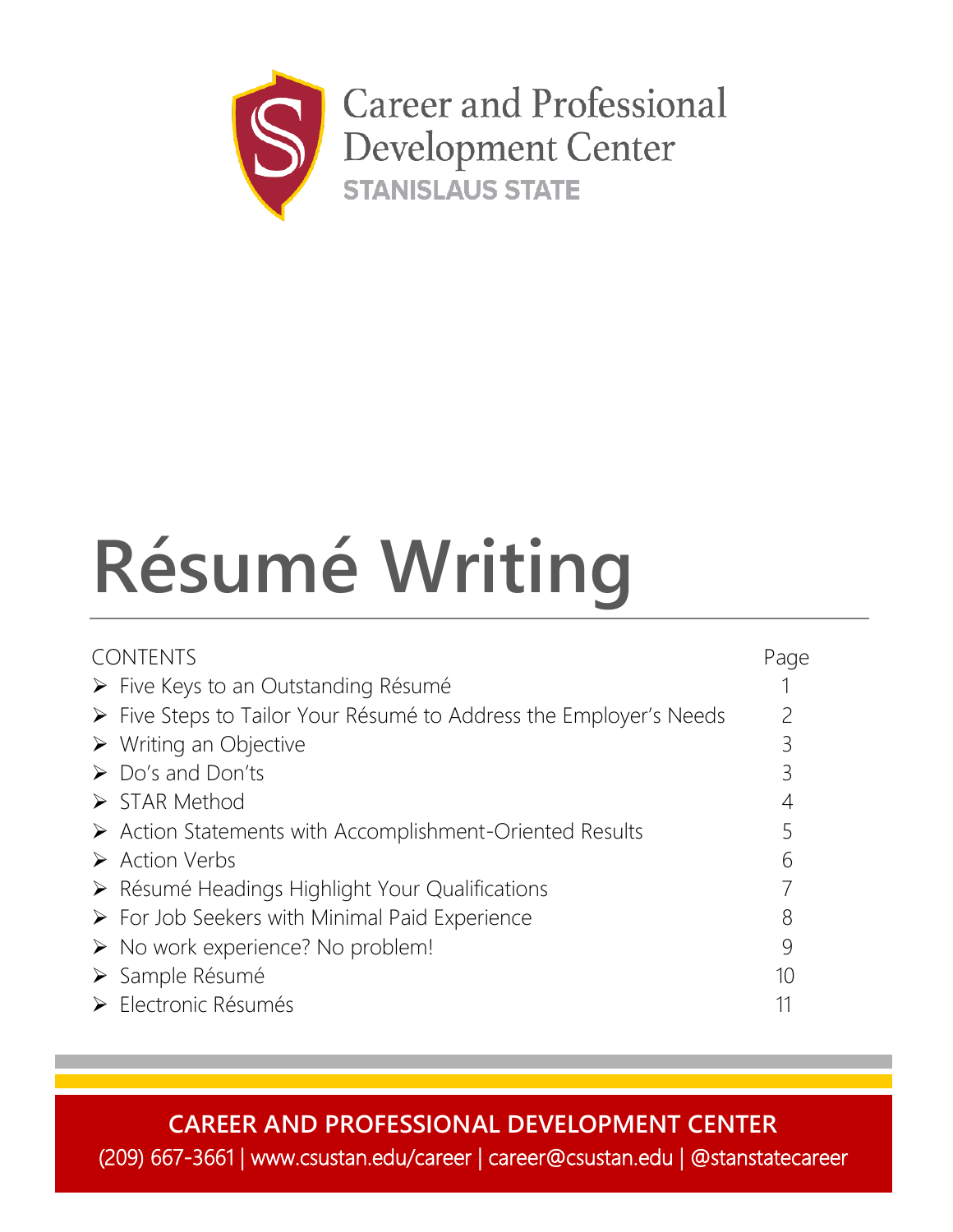

# **Résumé Writing**

| <b>CONTENTS</b> |                                                                         |    |
|-----------------|-------------------------------------------------------------------------|----|
|                 | $\triangleright$ Five Keys to an Outstanding Résumé                     |    |
|                 | ► Five Steps to Tailor Your Résumé to Address the Employer's Needs      | 2  |
|                 | $\triangleright$ Writing an Objective                                   | 3  |
|                 | $\triangleright$ Do's and Don'ts                                        | 3  |
|                 | $\triangleright$ STAR Method                                            | 4  |
|                 | $\triangleright$ Action Statements with Accomplishment-Oriented Results |    |
|                 | $\triangleright$ Action Verbs                                           | b  |
|                 | > Résumé Headings Highlight Your Qualifications                         |    |
|                 | $\triangleright$ For Job Seekers with Minimal Paid Experience           | 8  |
|                 | $\triangleright$ No work experience? No problem!                        | 9  |
|                 | > Sample Résumé                                                         | 10 |
|                 | Electronic Résumés                                                      |    |

**CAREER AND PROFESSIONAL DEVELOPMENT CENTER** (209) 667-3661 | www.csustan.edu/career | career@csustan.edu | @stanstatecareer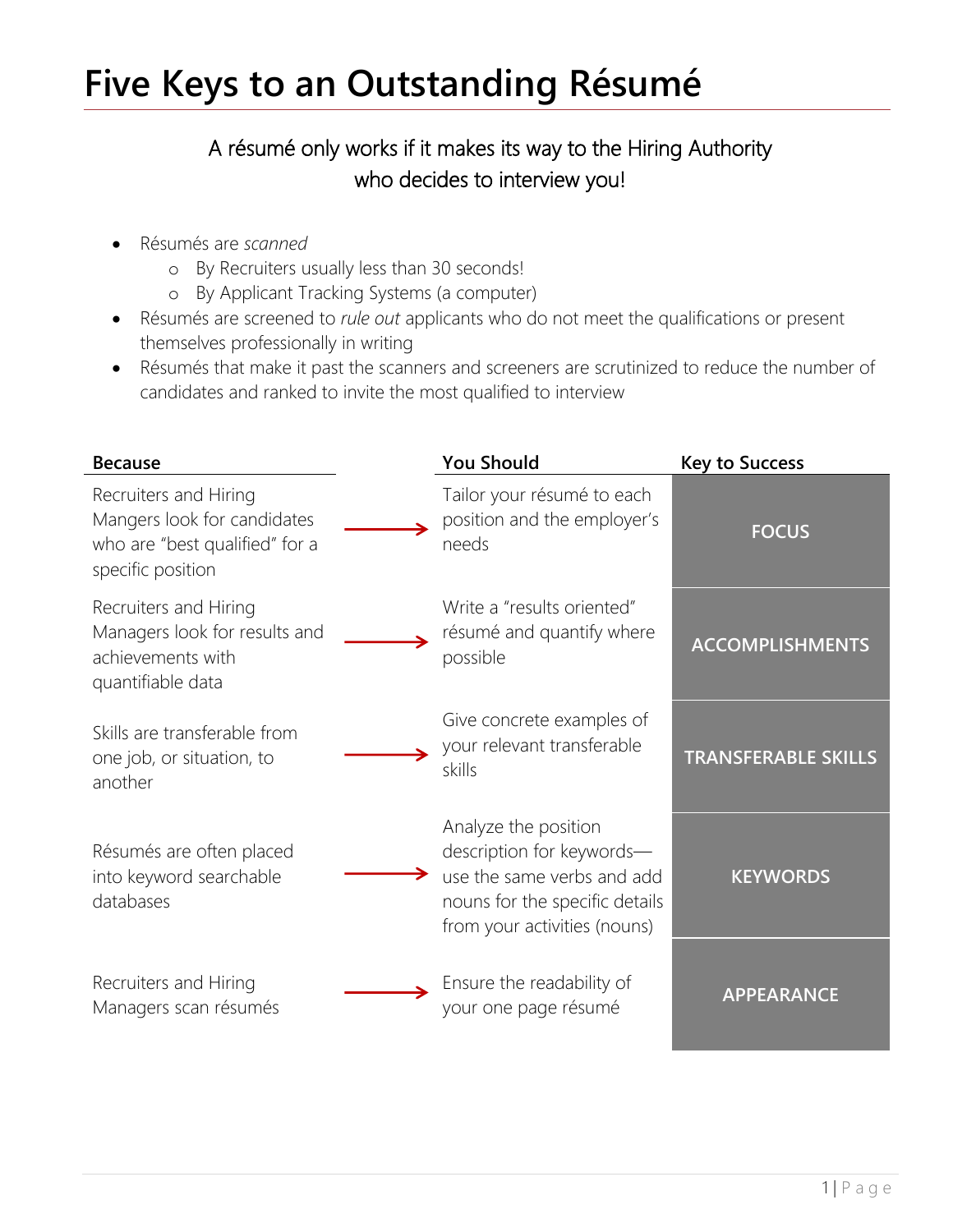# **Five Keys to an Outstanding Résumé**

# A résumé only works if it makes its way to the Hiring Authority who decides to interview you!

- Résumés are *scanned*
	- o By Recruiters usually less than 30 seconds!
	- o By Applicant Tracking Systems (a computer)
- Résumés are screened to *rule out* applicants who do not meet the qualifications or present themselves professionally in writing
- Résumés that make it past the scanners and screeners are scrutinized to reduce the number of candidates and ranked to invite the most qualified to interview

| <b>Because</b>                                                                                              | <b>You Should</b>                                                                                                                                 | <b>Key to Success</b>      |
|-------------------------------------------------------------------------------------------------------------|---------------------------------------------------------------------------------------------------------------------------------------------------|----------------------------|
| Recruiters and Hiring<br>Mangers look for candidates<br>who are "best qualified" for a<br>specific position | Tailor your résumé to each<br>position and the employer's<br>needs                                                                                | <b>FOCUS</b>               |
| Recruiters and Hiring<br>Managers look for results and<br>achievements with<br>quantifiable data            | Write a "results oriented"<br>résumé and quantify where<br>possible                                                                               | <b>ACCOMPLISHMENTS</b>     |
| Skills are transferable from<br>one job, or situation, to<br>another                                        | Give concrete examples of<br>your relevant transferable<br>skills                                                                                 | <b>TRANSFERABLE SKILLS</b> |
| Résumés are often placed<br>into keyword searchable<br>databases                                            | Analyze the position<br>description for keywords-<br>use the same verbs and add<br>nouns for the specific details<br>from your activities (nouns) | <b>KEYWORDS</b>            |
| Recruiters and Hiring<br>Managers scan résumés                                                              | Ensure the readability of<br>your one page résumé                                                                                                 | <b>APPEARANCE</b>          |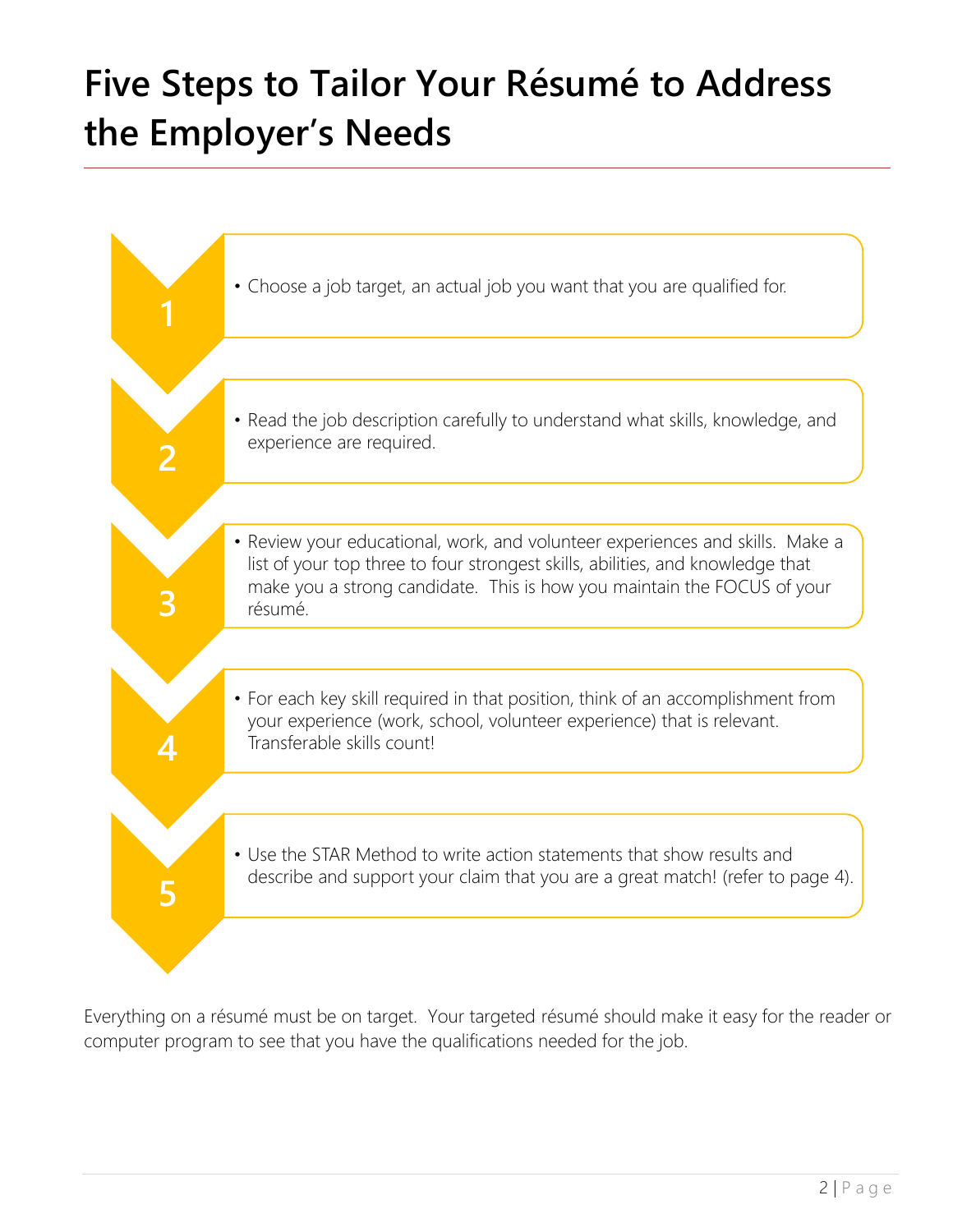# **Five Steps to Tailor Your Résumé to Address the Employer's Needs**



Everything on a résumé must be on target. Your targeted résumé should make it easy for the reader or computer program to see that you have the qualifications needed for the job.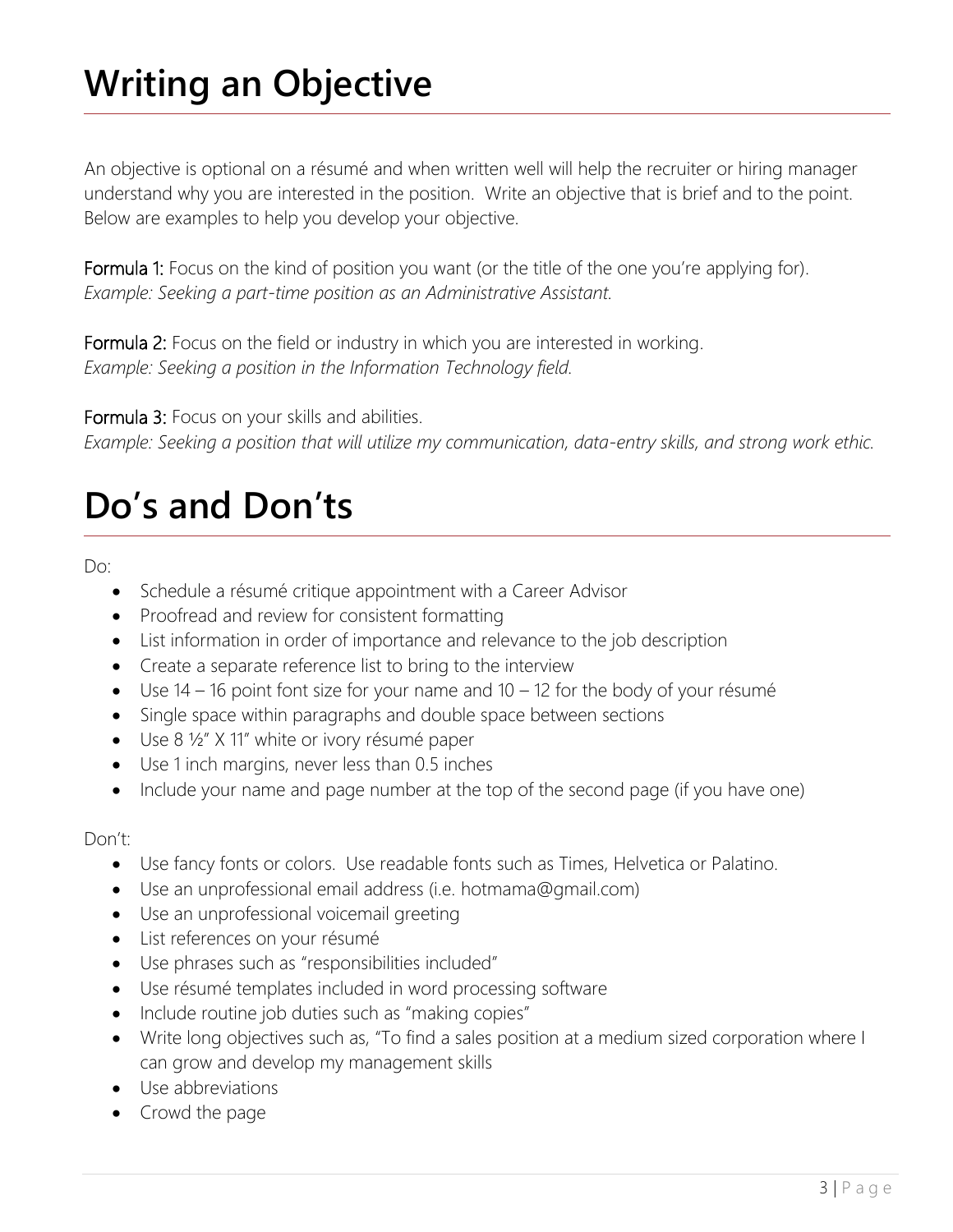# **Writing an Objective**

An objective is optional on a résumé and when written well will help the recruiter or hiring manager understand why you are interested in the position. Write an objective that is brief and to the point. Below are examples to help you develop your objective.

Formula 1: Focus on the kind of position you want (or the title of the one you're applying for). *Example: Seeking a part-time position as an Administrative Assistant.*

Formula 2: Focus on the field or industry in which you are interested in working. *Example: Seeking a position in the Information Technology field.*

Formula 3: Focus on your skills and abilities.

*Example: Seeking a position that will utilize my communication, data-entry skills, and strong work ethic.*

# **Do's and Don'ts**

Do:

- Schedule a résumé critique appointment with a Career Advisor
- Proofread and review for consistent formatting
- List information in order of importance and relevance to the job description
- Create a separate reference list to bring to the interview
- $\bullet$  Use 14 16 point font size for your name and 10 12 for the body of your résumé
- Single space within paragraphs and double space between sections
- Use 8 1/2" X 11" white or ivory résumé paper
- Use 1 inch margins, never less than 0.5 inches
- Include your name and page number at the top of the second page (if you have one)

### Don't:

- Use fancy fonts or colors. Use readable fonts such as Times, Helvetica or Palatino.
- Use an unprofessional email address (i.e. hotmama@gmail.com)
- Use an unprofessional voicemail greeting
- List references on your résumé
- Use phrases such as "responsibilities included"
- Use résumé templates included in word processing software
- Include routine job duties such as "making copies"
- Write long objectives such as, "To find a sales position at a medium sized corporation where I can grow and develop my management skills
- Use abbreviations
- Crowd the page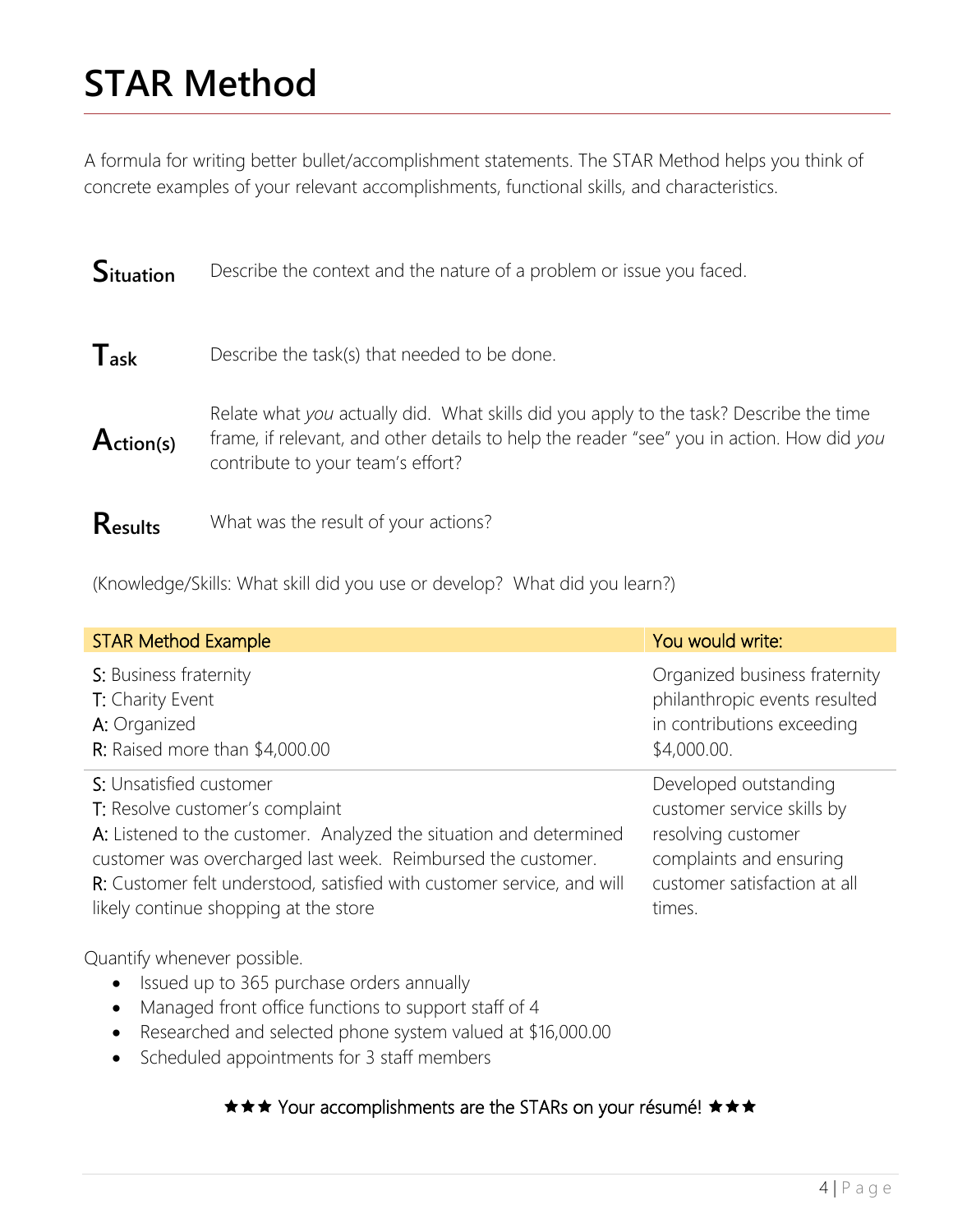# **STAR Method**

A formula for writing better bullet/accomplishment statements. The STAR Method helps you think of concrete examples of your relevant accomplishments, functional skills, and characteristics.

| <b>Situation</b> | Describe the context and the nature of a problem or issue you faced. |
|------------------|----------------------------------------------------------------------|
| $T_{ask}$        | Describe the task(s) that needed to be done.                         |

**Action(s)** Relate what *you* actually did. What skills did you apply to the task? Describe the time frame, if relevant, and other details to help the reader "see" you in action. How did *you* contribute to your team's effort?

**Results** What was the result of your actions?

(Knowledge/Skills: What skill did you use or develop? What did you learn?)

| <b>STAR Method Example</b>                                             | You would write:              |
|------------------------------------------------------------------------|-------------------------------|
| S: Business fraternity                                                 | Organized business fraternity |
| T: Charity Event                                                       | philanthropic events resulted |
| A: Organized                                                           | in contributions exceeding    |
| R: Raised more than $$4,000.00$                                        | \$4,000.00.                   |
| S: Unsatisfied customer                                                | Developed outstanding         |
| T: Resolve customer's complaint                                        | customer service skills by    |
| A: Listened to the customer. Analyzed the situation and determined     | resolving customer            |
| customer was overcharged last week. Reimbursed the customer.           | complaints and ensuring       |
| R: Customer felt understood, satisfied with customer service, and will | customer satisfaction at all  |
| likely continue shopping at the store                                  | times.                        |
| Quantify whenever possible.                                            |                               |

- Issued up to 365 purchase orders annually
- Managed front office functions to support staff of 4
- Researched and selected phone system valued at \$16,000.00
- Scheduled appointments for 3 staff members

### **★★★ Your accomplishments are the STARs on your résumé! ★★★**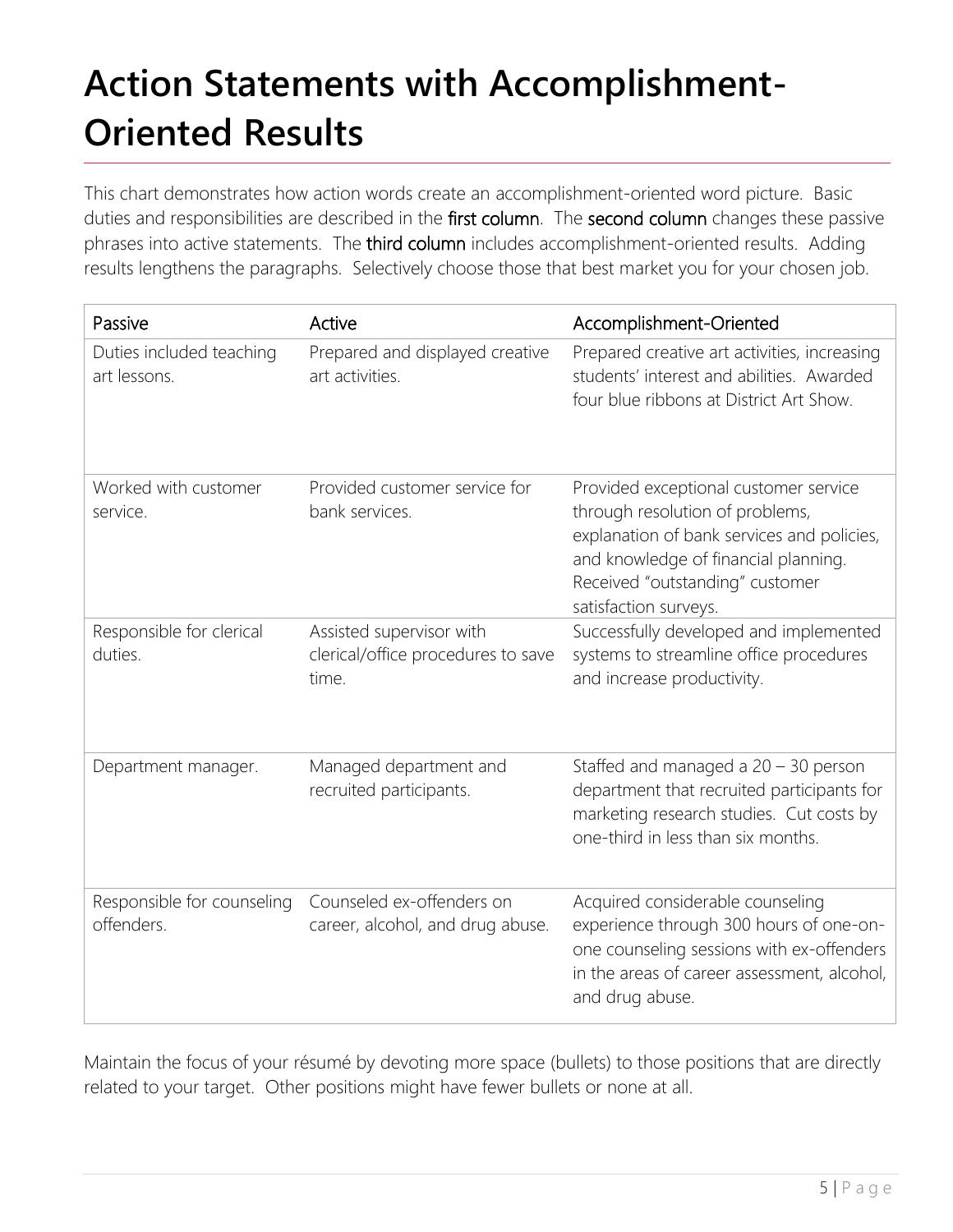# **Action Statements with Accomplishment-Oriented Results**

This chart demonstrates how action words create an accomplishment-oriented word picture. Basic duties and responsibilities are described in the first column. The second column changes these passive phrases into active statements. The third column includes accomplishment-oriented results. Adding results lengthens the paragraphs. Selectively choose those that best market you for your chosen job.

| Passive                                  | Active                                                                  | Accomplishment-Oriented                                                                                                                                                                                                    |
|------------------------------------------|-------------------------------------------------------------------------|----------------------------------------------------------------------------------------------------------------------------------------------------------------------------------------------------------------------------|
| Duties included teaching<br>art lessons. | Prepared and displayed creative<br>art activities.                      | Prepared creative art activities, increasing<br>students' interest and abilities. Awarded<br>four blue ribbons at District Art Show.                                                                                       |
| Worked with customer<br>service.         | Provided customer service for<br>bank services.                         | Provided exceptional customer service<br>through resolution of problems,<br>explanation of bank services and policies,<br>and knowledge of financial planning.<br>Received "outstanding" customer<br>satisfaction surveys. |
| Responsible for clerical<br>duties.      | Assisted supervisor with<br>clerical/office procedures to save<br>time. | Successfully developed and implemented<br>systems to streamline office procedures<br>and increase productivity.                                                                                                            |
| Department manager.                      | Managed department and<br>recruited participants.                       | Staffed and managed a $20 - 30$ person<br>department that recruited participants for<br>marketing research studies. Cut costs by<br>one-third in less than six months.                                                     |
| Responsible for counseling<br>offenders. | Counseled ex-offenders on<br>career, alcohol, and drug abuse.           | Acquired considerable counseling<br>experience through 300 hours of one-on-<br>one counseling sessions with ex-offenders<br>in the areas of career assessment, alcohol,<br>and drug abuse.                                 |

Maintain the focus of your résumé by devoting more space (bullets) to those positions that are directly related to your target. Other positions might have fewer bullets or none at all.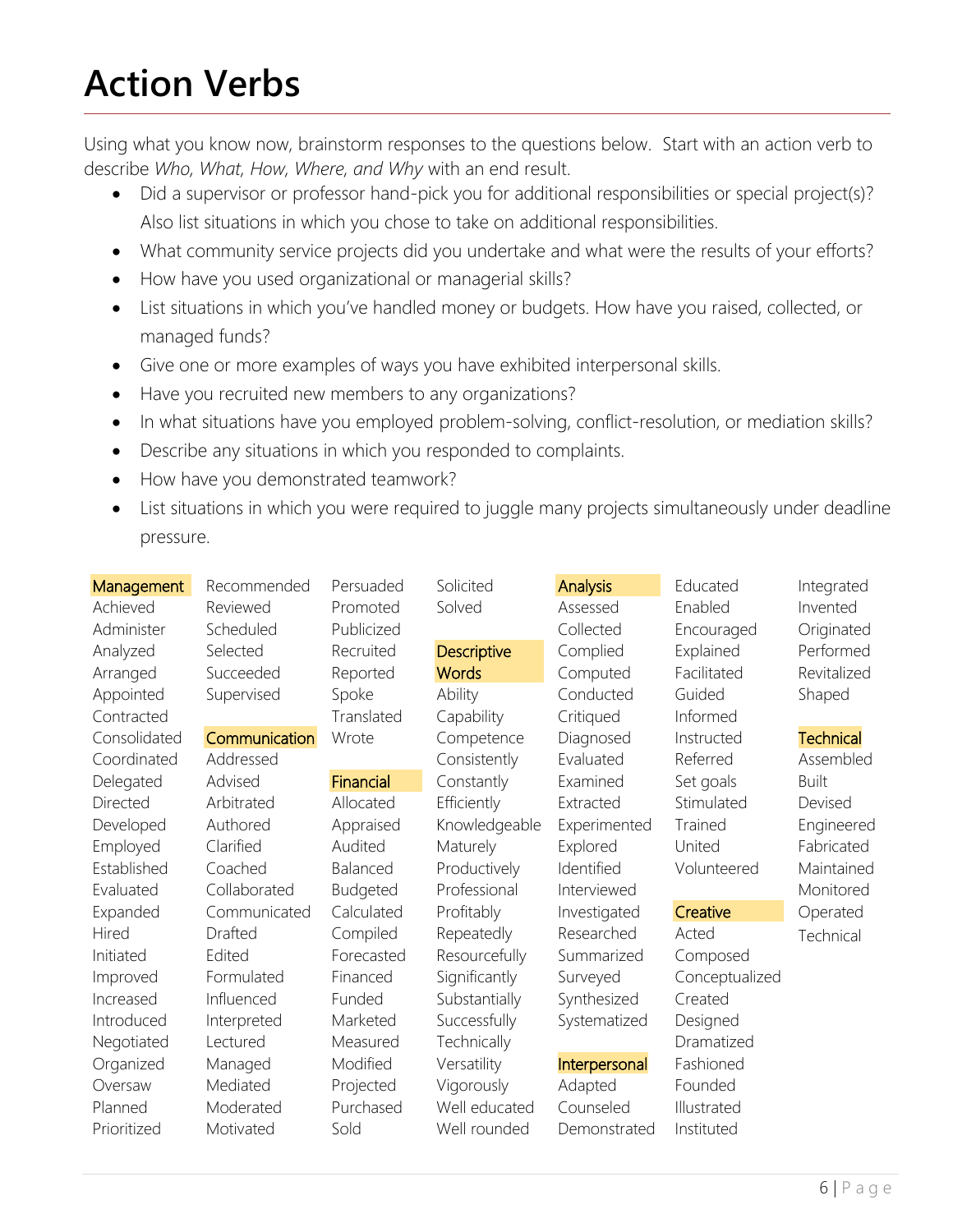# **Action Verbs**

Using what you know now, brainstorm responses to the questions below. Start with an action verb to describe *Who, What, How, Where, and Why* with an end result.

- Did a supervisor or professor hand-pick you for additional responsibilities or special project(s)? Also list situations in which you chose to take on additional responsibilities.
- What community service projects did you undertake and what were the results of your efforts?
- How have you used organizational or managerial skills?
- List situations in which you've handled money or budgets. How have you raised, collected, or managed funds?
- Give one or more examples of ways you have exhibited interpersonal skills.
- Have you recruited new members to any organizations?
- In what situations have you employed problem-solving, conflict-resolution, or mediation skills?
- Describe any situations in which you responded to complaints.
- How have you demonstrated teamwork?
- List situations in which you were required to juggle many projects simultaneously under deadline pressure.

| Management   | Recommended   | Persuaded  | Solicited     | <b>Analysis</b> | Educated       | Integrated       |
|--------------|---------------|------------|---------------|-----------------|----------------|------------------|
| Achieved     | Reviewed      | Promoted   | Solved        | Assessed        | Enabled        | Invented         |
| Administer   | Scheduled     | Publicized |               | Collected       | Encouraged     | Originated       |
| Analyzed     | Selected      | Recruited  | Descriptive   | Complied        | Explained      | Performed        |
| Arranged     | Succeeded     | Reported   | <b>Words</b>  | Computed        | Facilitated    | Revitalized      |
| Appointed    | Supervised    | Spoke      | Ability       | Conducted       | Guided         | Shaped           |
| Contracted   |               | Translated | Capability    | Critiqued       | Informed       |                  |
| Consolidated | Communication | Wrote      | Competence    | Diagnosed       | Instructed     | <b>Technical</b> |
| Coordinated  | Addressed     |            | Consistently  | Evaluated       | Referred       | Assembled        |
| Delegated    | Advised       | Financial  | Constantly    | Examined        | Set goals      | <b>Built</b>     |
| Directed     | Arbitrated    | Allocated  | Efficiently   | Extracted       | Stimulated     | Devised          |
| Developed    | Authored      | Appraised  | Knowledgeable | Experimented    | Trained        | Engineered       |
| Employed     | Clarified     | Audited    | Maturely      | Explored        | United         | Fabricated       |
| Established  | Coached       | Balanced   | Productively  | Identified      | Volunteered    | Maintained       |
| Evaluated    | Collaborated  | Budgeted   | Professional  | Interviewed     |                | Monitored        |
| Expanded     | Communicated  | Calculated | Profitably    | Investigated    | Creative       | Operated         |
| Hired        | Drafted       | Compiled   | Repeatedly    | Researched      | Acted          | Technical        |
| Initiated    | Edited        | Forecasted | Resourcefully | Summarized      | Composed       |                  |
| Improved     | Formulated    | Financed   | Significantly | Surveyed        | Conceptualized |                  |
| Increased    | Influenced    | Funded     | Substantially | Synthesized     | Created        |                  |
| Introduced   | Interpreted   | Marketed   | Successfully  | Systematized    | Designed       |                  |
| Negotiated   | Lectured      | Measured   | Technically   |                 | Dramatized     |                  |
| Organized    | Managed       | Modified   | Versatility   | Interpersonal   | Fashioned      |                  |
| Oversaw      | Mediated      | Projected  | Vigorously    | Adapted         | Founded        |                  |
| Planned      | Moderated     | Purchased  | Well educated | Counseled       | Illustrated    |                  |
| Prioritized  | Motivated     | Sold       | Well rounded  | Demonstrated    | Instituted     |                  |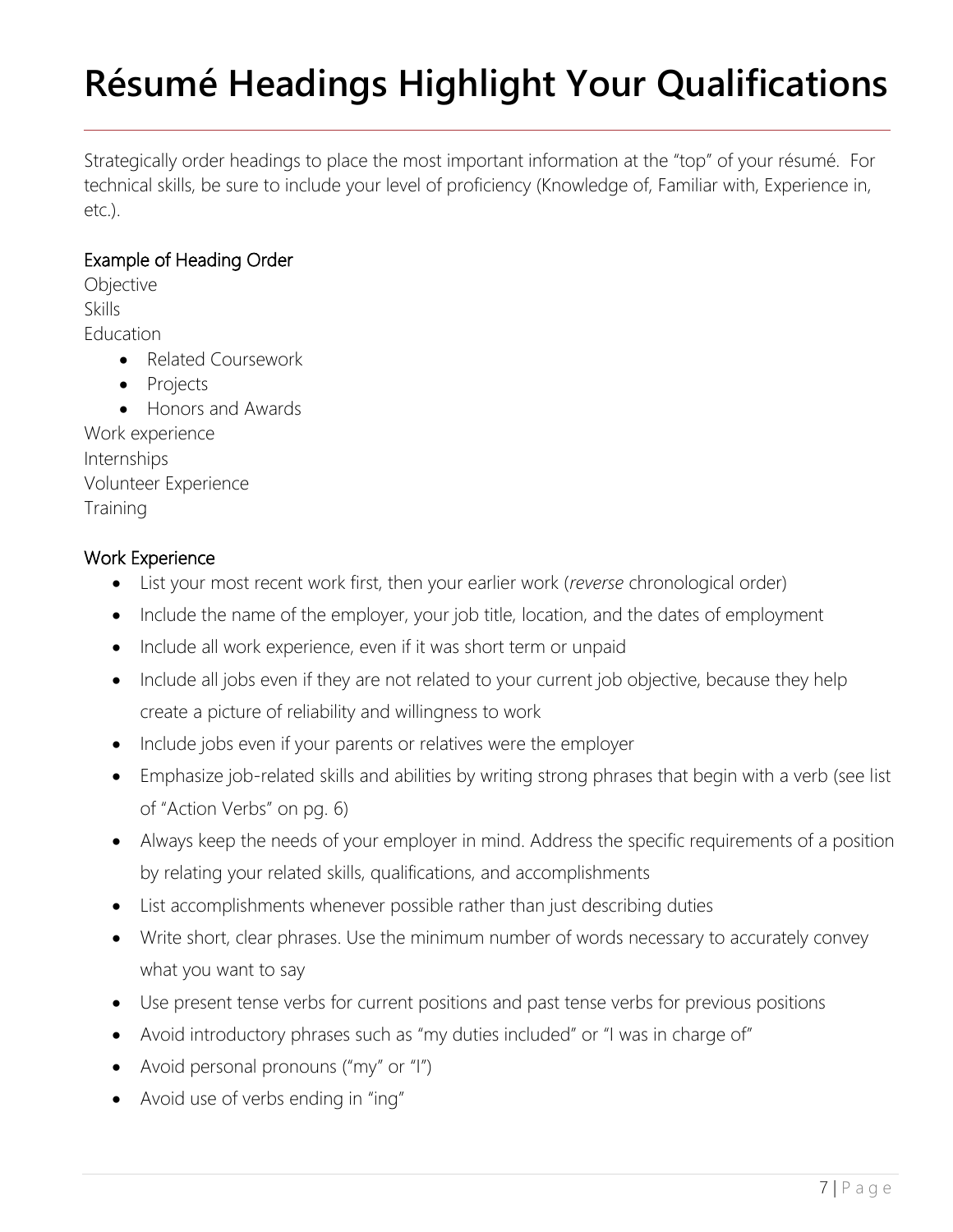# **Résumé Headings Highlight Your Qualifications**

Strategically order headings to place the most important information at the "top" of your résumé. For technical skills, be sure to include your level of proficiency (Knowledge of, Familiar with, Experience in, etc.).

### Example of Heading Order

**Objective** Skills Education • Related Coursework

- Projects
- Honors and Awards

Work experience Internships Volunteer Experience **Training** 

### Work Experience

- List your most recent work first, then your earlier work (*reverse* chronological order)
- Include the name of the employer, your job title, location, and the dates of employment
- Include all work experience, even if it was short term or unpaid
- Include all jobs even if they are not related to your current job objective, because they help create a picture of reliability and willingness to work
- Include jobs even if your parents or relatives were the employer
- Emphasize job-related skills and abilities by writing strong phrases that begin with a verb (see list of "Action Verbs" on pg. 6)
- Always keep the needs of your employer in mind. Address the specific requirements of a position by relating your related skills, qualifications, and accomplishments
- List accomplishments whenever possible rather than just describing duties
- Write short, clear phrases. Use the minimum number of words necessary to accurately convey what you want to say
- Use present tense verbs for current positions and past tense verbs for previous positions
- Avoid introductory phrases such as "my duties included" or "I was in charge of"
- Avoid personal pronouns ("my" or "I")
- Avoid use of verbs ending in "ing"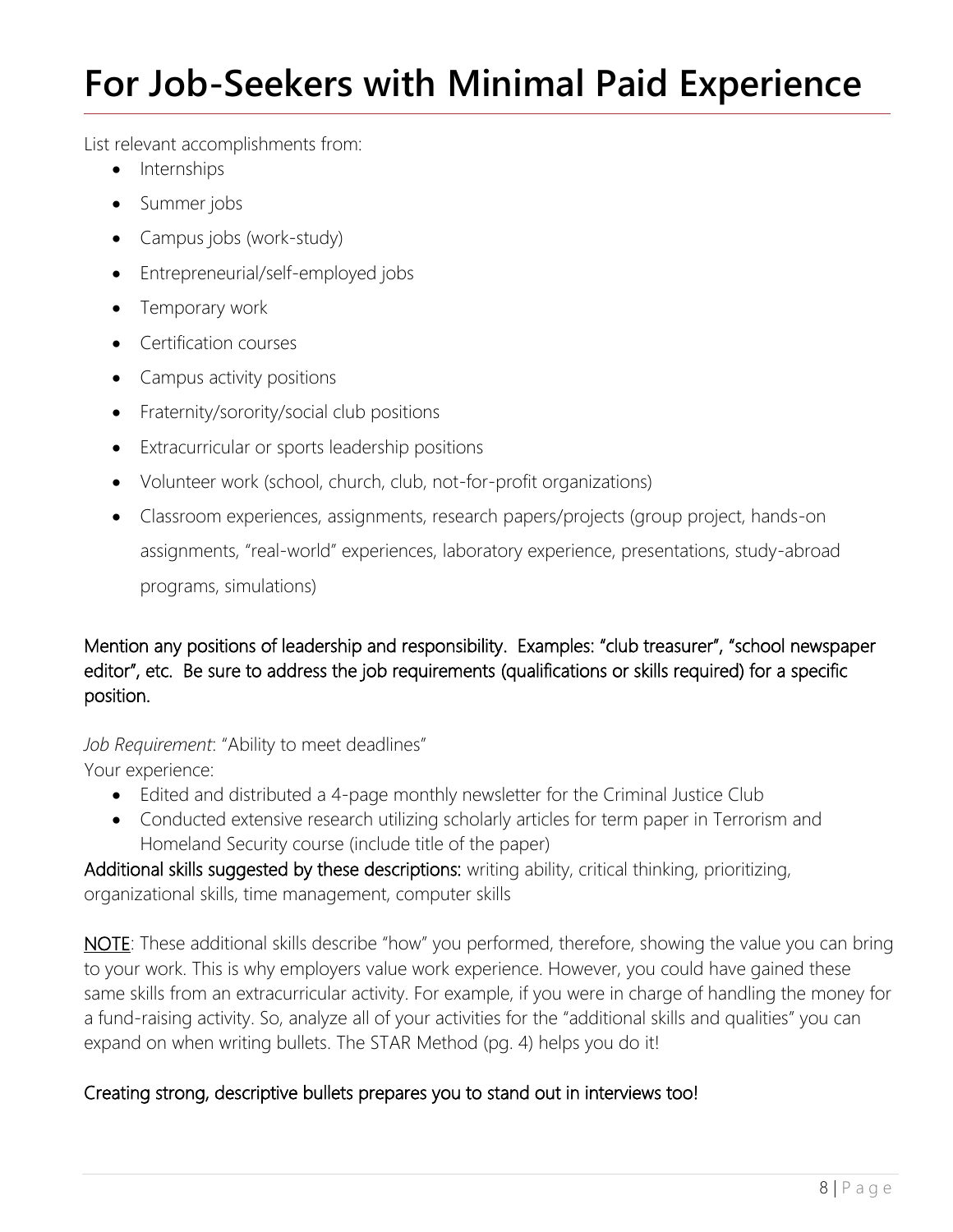# **For Job-Seekers with Minimal Paid Experience**

List relevant accomplishments from:

- Internships
- Summer jobs
- Campus jobs (work-study)
- Entrepreneurial/self-employed jobs
- Temporary work
- Certification courses
- Campus activity positions
- Fraternity/sorority/social club positions
- Extracurricular or sports leadership positions
- Volunteer work (school, church, club, not-for-profit organizations)
- Classroom experiences, assignments, research papers/projects (group project, hands-on assignments, "real-world" experiences, laboratory experience, presentations, study-abroad programs, simulations)

Mention any positions of leadership and responsibility. Examples: "club treasurer", "school newspaper editor", etc. Be sure to address the job requirements (qualifications or skills required) for a specific position.

*Job Requirement*: "Ability to meet deadlines" Your experience:

- Edited and distributed a 4-page monthly newsletter for the Criminal Justice Club
- Conducted extensive research utilizing scholarly articles for term paper in Terrorism and Homeland Security course (include title of the paper)

Additional skills suggested by these descriptions: writing ability, critical thinking, prioritizing, organizational skills, time management, computer skills

NOTE: These additional skills describe "how" you performed, therefore, showing the value you can bring to your work. This is why employers value work experience. However, you could have gained these same skills from an extracurricular activity. For example, if you were in charge of handling the money for a fund-raising activity. So, analyze all of your activities for the "additional skills and qualities" you can expand on when writing bullets. The STAR Method (pg. 4) helps you do it!

# Creating strong, descriptive bullets prepares you to stand out in interviews too!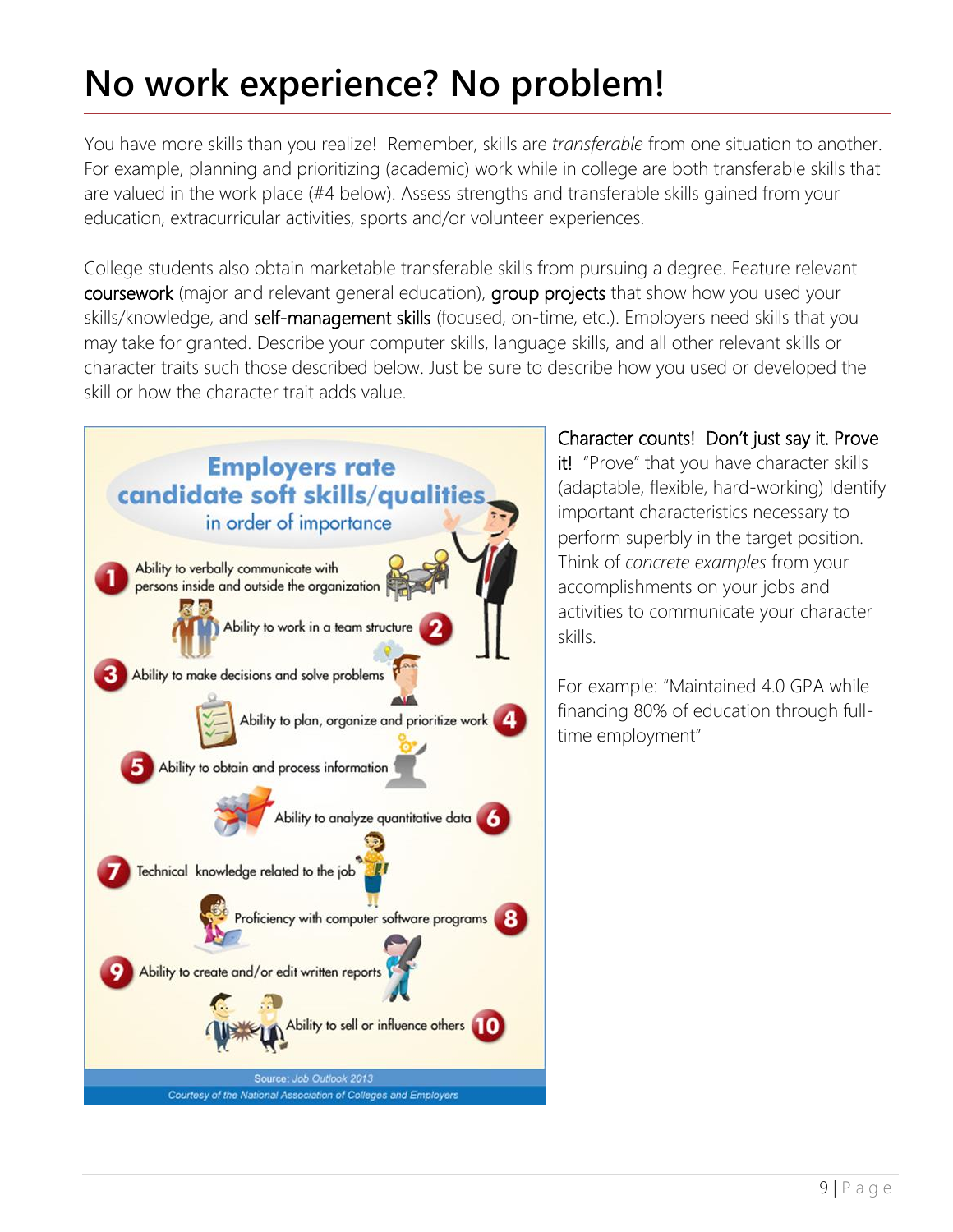# **No work experience? No problem!**

You have more skills than you realize! Remember, skills are *transferable* from one situation to another. For example, planning and prioritizing (academic) work while in college are both transferable skills that are valued in the work place (#4 below). Assess strengths and transferable skills gained from your education, extracurricular activities, sports and/or volunteer experiences.

College students also obtain marketable transferable skills from pursuing a degree. Feature relevant coursework (major and relevant general education), group projects that show how you used your skills/knowledge, and self-management skills (focused, on-time, etc.). Employers need skills that you may take for granted. Describe your computer skills, language skills, and all other relevant skills or character traits such those described below. Just be sure to describe how you used or developed the skill or how the character trait adds value.



Character counts! Don't just say it. Prove

it! "Prove" that you have character skills (adaptable, flexible, hard-working) Identify important characteristics necessary to perform superbly in the target position. Think of *concrete examples* from your accomplishments on your jobs and activities to communicate your character skills.

For example: "Maintained 4.0 GPA while financing 80% of education through fulltime employment"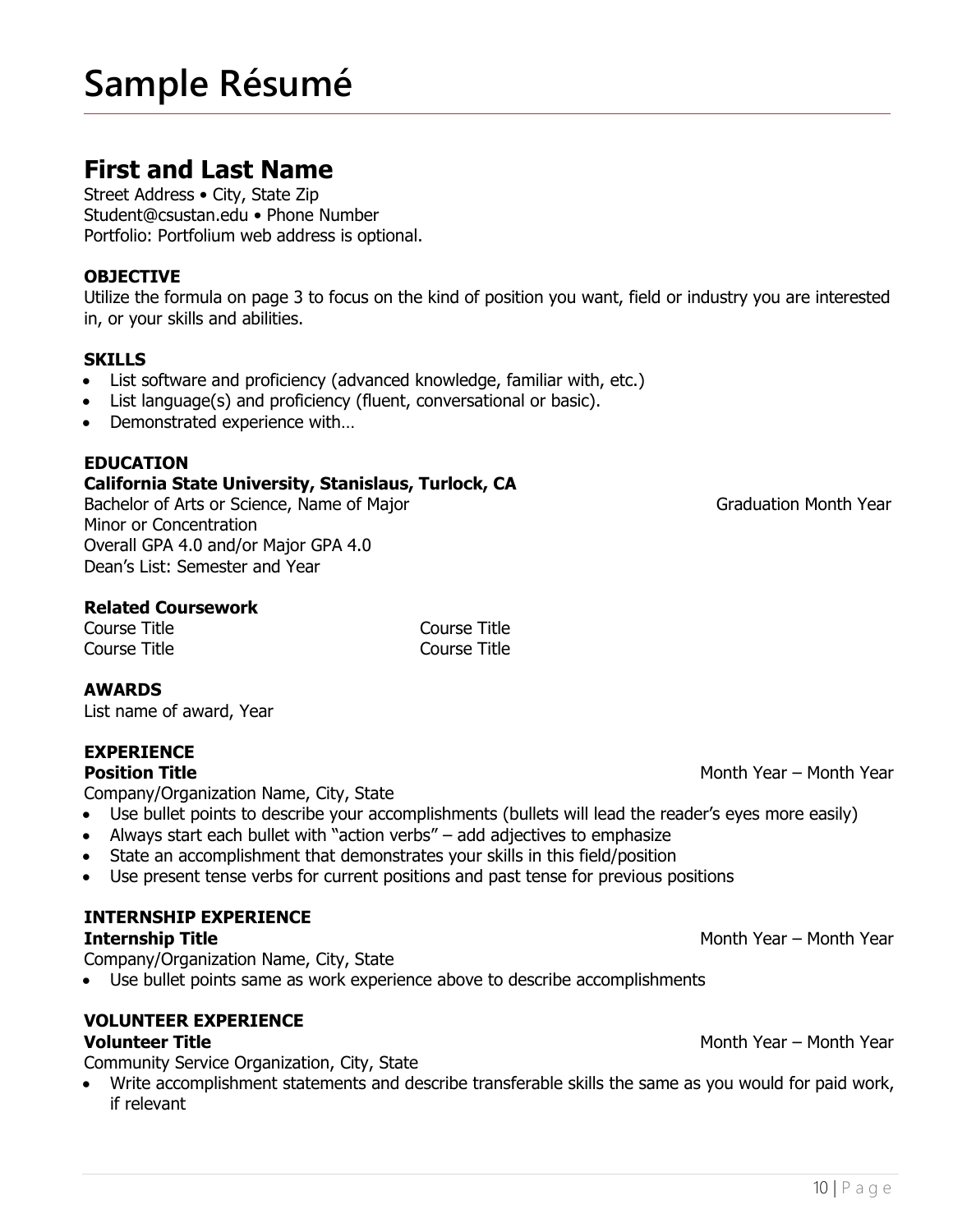# **Sample Résumé**

# **First and Last Name**

Street Address • City, State Zip Student@csustan.edu • Phone Number Portfolio: Portfolium web address is optional.

### **OBJECTIVE**

Utilize the formula on page 3 to focus on the kind of position you want, field or industry you are interested in, or your skills and abilities.

### **SKILLS**

- List software and proficiency (advanced knowledge, familiar with, etc.)
- List language(s) and proficiency (fluent, conversational or basic).
- Demonstrated experience with…

### **EDUCATION**

### **California State University, Stanislaus, Turlock, CA**

Bachelor of Arts or Science, Name of Major Graduation Month Year Minor or Concentration Overall GPA 4.0 and/or Major GPA 4.0 Dean's List: Semester and Year

### **Related Coursework**

Course Title Course Title

Course Title Course Title

### **AWARDS**

List name of award, Year

### **EXPERIENCE**

Company/Organization Name, City, State

- Use bullet points to describe your accomplishments (bullets will lead the reader's eyes more easily)
- Always start each bullet with "action verbs" add adjectives to emphasize
- State an accomplishment that demonstrates your skills in this field/position
- Use present tense verbs for current positions and past tense for previous positions

### **INTERNSHIP EXPERIENCE**

#### **Internship Title**  Month Year – Month Year – Month Year – Month Year – Month Year – Month Year – Month Year – Month Year – Month Year – Month Year – Month Year – Month Year – Month Year – Month Year – Month Year – Month Y

Company/Organization Name, City, State

Use bullet points same as work experience above to describe accomplishments

# **VOLUNTEER EXPERIENCE**

Community Service Organization, City, State

 Write accomplishment statements and describe transferable skills the same as you would for paid work, if relevant

**Position Title** Month Year – Month Year – Month Year – Month Year – Month Year – Month Year – Month Year – Month Year – Month Year – Month Year – Month Year – Month Year – Month Year – Month Year – Month Year – Month Year

**Volunteer Title** Month Year – Month Year – Month Year – Month Year – Month Year – Month Year – Month Year – Month Year – Month Year – Month Year – Month Year – Month Year – Month Year – Month Year – Month Year – Month Yea